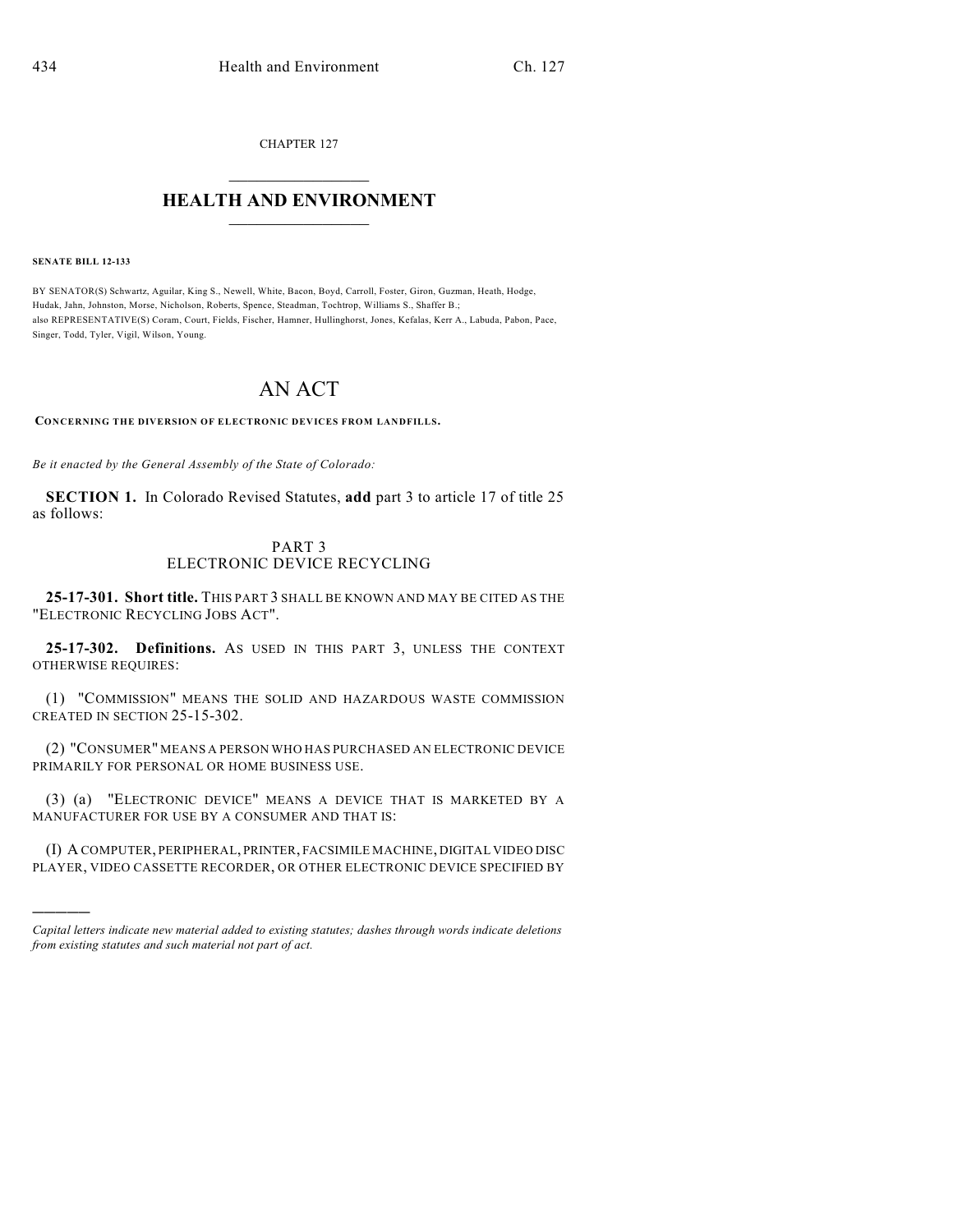CHAPTER 127

## $\mathcal{L}_\text{max}$  . The set of the set of the set of the set of the set of the set of the set of the set of the set of the set of the set of the set of the set of the set of the set of the set of the set of the set of the set **HEALTH AND ENVIRONMENT**  $\_$

**SENATE BILL 12-133**

)))))

BY SENATOR(S) Schwartz, Aguilar, King S., Newell, White, Bacon, Boyd, Carroll, Foster, Giron, Guzman, Heath, Hodge, Hudak, Jahn, Johnston, Morse, Nicholson, Roberts, Spence, Steadman, Tochtrop, Williams S., Shaffer B.; also REPRESENTATIVE(S) Coram, Court, Fields, Fischer, Hamner, Hullinghorst, Jones, Kefalas, Kerr A., Labuda, Pabon, Pace, Singer, Todd, Tyler, Vigil, Wilson, Young.

## AN ACT

**CONCERNING THE DIVERSION OF ELECTRONIC DEVICES FROM LANDFILLS.**

*Be it enacted by the General Assembly of the State of Colorado:*

**SECTION 1.** In Colorado Revised Statutes, **add** part 3 to article 17 of title 25 as follows:

## PART 3 ELECTRONIC DEVICE RECYCLING

**25-17-301. Short title.** THIS PART 3 SHALL BE KNOWN AND MAY BE CITED AS THE "ELECTRONIC RECYCLING JOBS ACT".

**25-17-302. Definitions.** AS USED IN THIS PART 3, UNLESS THE CONTEXT OTHERWISE REQUIRES:

(1) "COMMISSION" MEANS THE SOLID AND HAZARDOUS WASTE COMMISSION CREATED IN SECTION 25-15-302.

(2) "CONSUMER" MEANS A PERSON WHO HAS PURCHASED AN ELECTRONIC DEVICE PRIMARILY FOR PERSONAL OR HOME BUSINESS USE.

(3) (a) "ELECTRONIC DEVICE" MEANS A DEVICE THAT IS MARKETED BY A MANUFACTURER FOR USE BY A CONSUMER AND THAT IS:

(I) A COMPUTER, PERIPHERAL, PRINTER, FACSIMILE MACHINE, DIGITAL VIDEO DISC PLAYER, VIDEO CASSETTE RECORDER, OR OTHER ELECTRONIC DEVICE SPECIFIED BY

*Capital letters indicate new material added to existing statutes; dashes through words indicate deletions from existing statutes and such material not part of act.*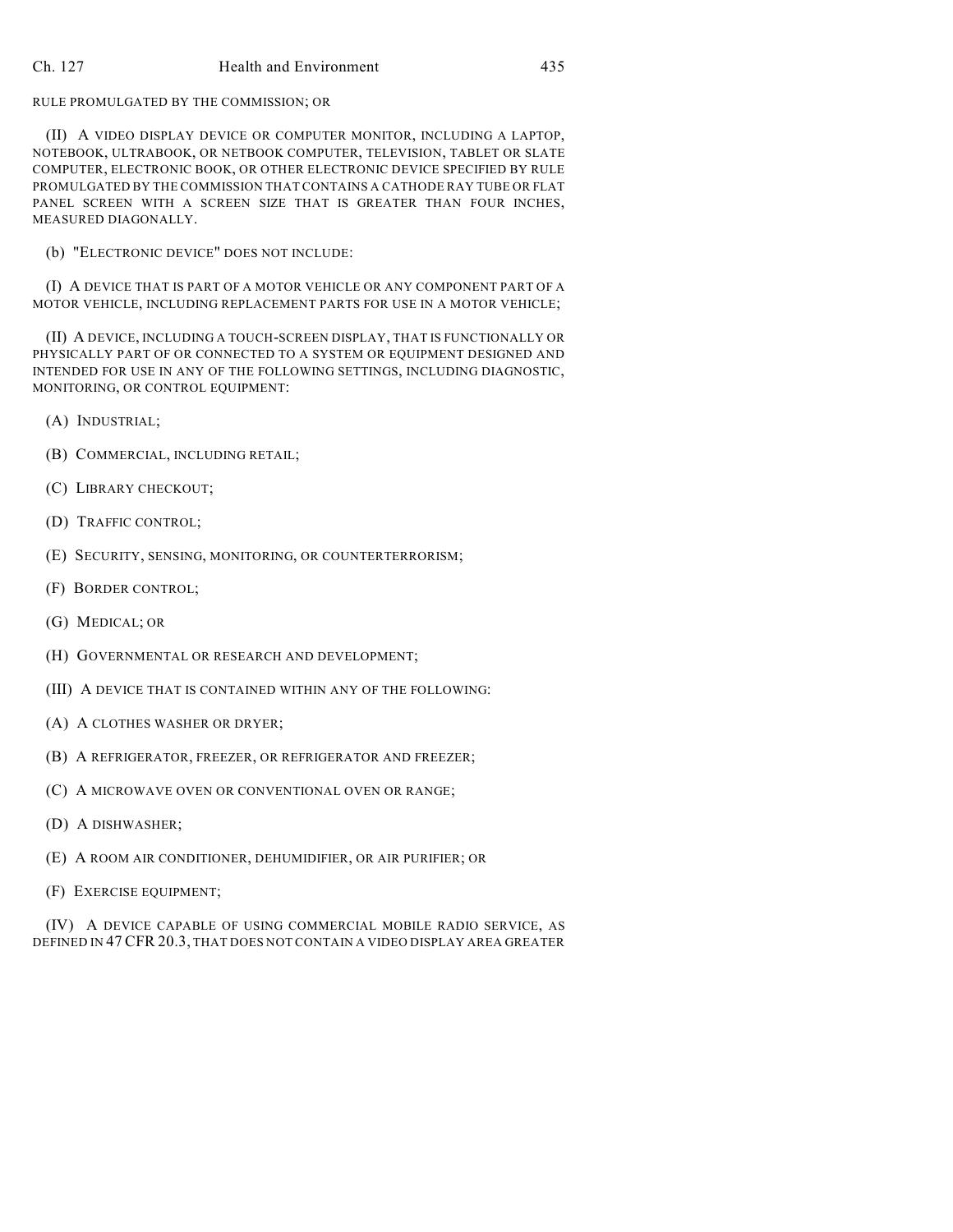## Ch. 127 Health and Environment 435

RULE PROMULGATED BY THE COMMISSION; OR

(II) A VIDEO DISPLAY DEVICE OR COMPUTER MONITOR, INCLUDING A LAPTOP, NOTEBOOK, ULTRABOOK, OR NETBOOK COMPUTER, TELEVISION, TABLET OR SLATE COMPUTER, ELECTRONIC BOOK, OR OTHER ELECTRONIC DEVICE SPECIFIED BY RULE PROMULGATED BY THE COMMISSION THAT CONTAINS A CATHODE RAY TUBE OR FLAT PANEL SCREEN WITH A SCREEN SIZE THAT IS GREATER THAN FOUR INCHES, MEASURED DIAGONALLY.

(b) "ELECTRONIC DEVICE" DOES NOT INCLUDE:

(I) A DEVICE THAT IS PART OF A MOTOR VEHICLE OR ANY COMPONENT PART OF A MOTOR VEHICLE, INCLUDING REPLACEMENT PARTS FOR USE IN A MOTOR VEHICLE;

(II) A DEVICE, INCLUDING A TOUCH-SCREEN DISPLAY, THAT IS FUNCTIONALLY OR PHYSICALLY PART OF OR CONNECTED TO A SYSTEM OR EQUIPMENT DESIGNED AND INTENDED FOR USE IN ANY OF THE FOLLOWING SETTINGS, INCLUDING DIAGNOSTIC, MONITORING, OR CONTROL EQUIPMENT:

- (A) INDUSTRIAL;
- (B) COMMERCIAL, INCLUDING RETAIL;
- (C) LIBRARY CHECKOUT;
- (D) TRAFFIC CONTROL;
- (E) SECURITY, SENSING, MONITORING, OR COUNTERTERRORISM;
- (F) BORDER CONTROL;
- (G) MEDICAL; OR
- (H) GOVERNMENTAL OR RESEARCH AND DEVELOPMENT;
- (III) A DEVICE THAT IS CONTAINED WITHIN ANY OF THE FOLLOWING:
- (A) A CLOTHES WASHER OR DRYER;
- (B) A REFRIGERATOR, FREEZER, OR REFRIGERATOR AND FREEZER;
- (C) A MICROWAVE OVEN OR CONVENTIONAL OVEN OR RANGE;
- (D) A DISHWASHER;
- (E) A ROOM AIR CONDITIONER, DEHUMIDIFIER, OR AIR PURIFIER; OR
- (F) EXERCISE EQUIPMENT;

(IV) A DEVICE CAPABLE OF USING COMMERCIAL MOBILE RADIO SERVICE, AS DEFINED IN 47 CFR 20.3, THAT DOES NOT CONTAIN A VIDEO DISPLAY AREA GREATER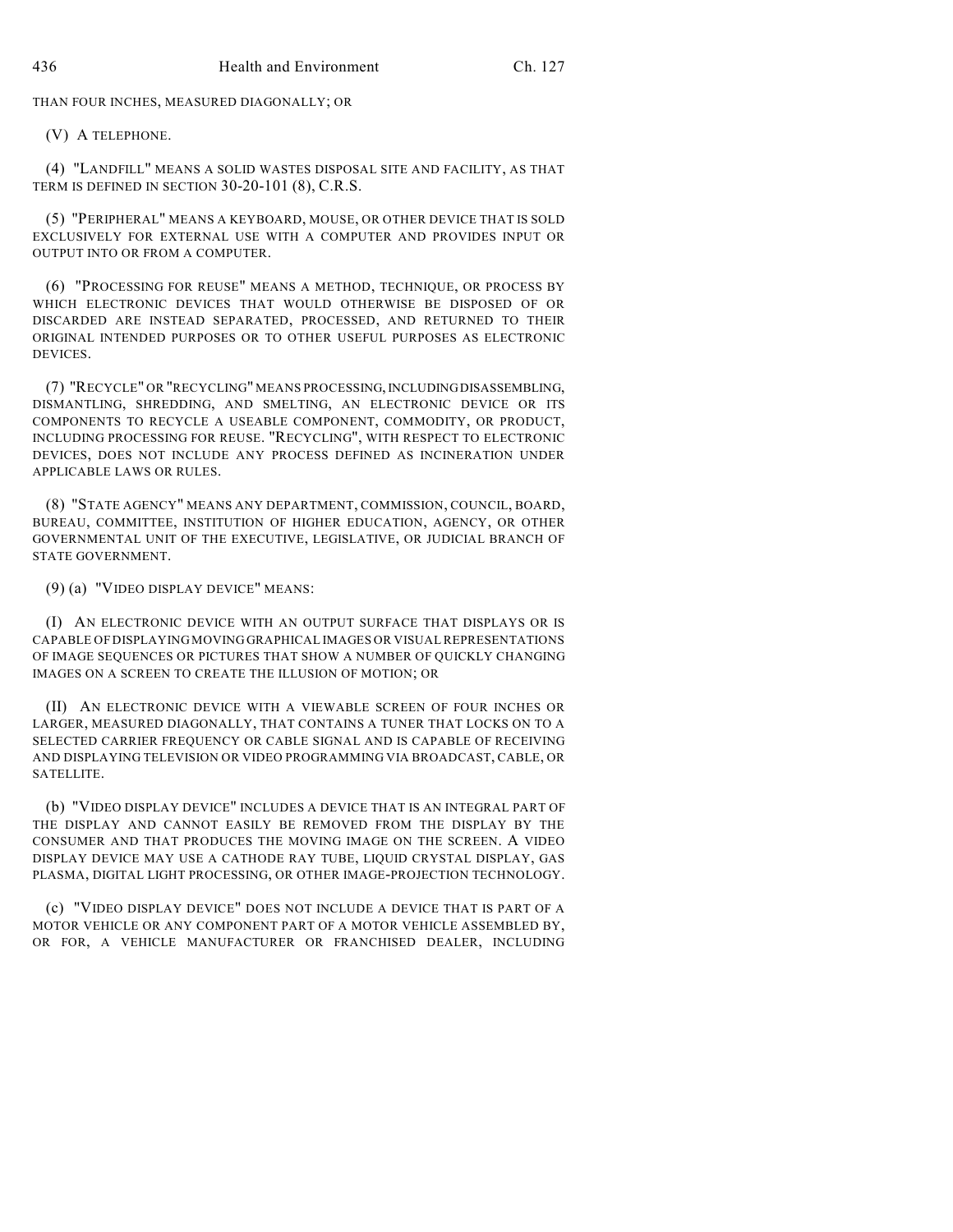THAN FOUR INCHES, MEASURED DIAGONALLY; OR

(V) A TELEPHONE.

(4) "LANDFILL" MEANS A SOLID WASTES DISPOSAL SITE AND FACILITY, AS THAT TERM IS DEFINED IN SECTION 30-20-101 (8), C.R.S.

(5) "PERIPHERAL" MEANS A KEYBOARD, MOUSE, OR OTHER DEVICE THAT IS SOLD EXCLUSIVELY FOR EXTERNAL USE WITH A COMPUTER AND PROVIDES INPUT OR OUTPUT INTO OR FROM A COMPUTER.

(6) "PROCESSING FOR REUSE" MEANS A METHOD, TECHNIQUE, OR PROCESS BY WHICH ELECTRONIC DEVICES THAT WOULD OTHERWISE BE DISPOSED OF OR DISCARDED ARE INSTEAD SEPARATED, PROCESSED, AND RETURNED TO THEIR ORIGINAL INTENDED PURPOSES OR TO OTHER USEFUL PURPOSES AS ELECTRONIC DEVICES.

(7) "RECYCLE" OR "RECYCLING" MEANS PROCESSING,INCLUDINGDISASSEMBLING, DISMANTLING, SHREDDING, AND SMELTING, AN ELECTRONIC DEVICE OR ITS COMPONENTS TO RECYCLE A USEABLE COMPONENT, COMMODITY, OR PRODUCT, INCLUDING PROCESSING FOR REUSE. "RECYCLING", WITH RESPECT TO ELECTRONIC DEVICES, DOES NOT INCLUDE ANY PROCESS DEFINED AS INCINERATION UNDER APPLICABLE LAWS OR RULES.

(8) "STATE AGENCY" MEANS ANY DEPARTMENT, COMMISSION, COUNCIL, BOARD, BUREAU, COMMITTEE, INSTITUTION OF HIGHER EDUCATION, AGENCY, OR OTHER GOVERNMENTAL UNIT OF THE EXECUTIVE, LEGISLATIVE, OR JUDICIAL BRANCH OF STATE GOVERNMENT.

(9) (a) "VIDEO DISPLAY DEVICE" MEANS:

(I) AN ELECTRONIC DEVICE WITH AN OUTPUT SURFACE THAT DISPLAYS OR IS CAPABLE OF DISPLAYING MOVING GRAPHICAL IMAGES OR VISUAL REPRESENTATIONS OF IMAGE SEQUENCES OR PICTURES THAT SHOW A NUMBER OF QUICKLY CHANGING IMAGES ON A SCREEN TO CREATE THE ILLUSION OF MOTION; OR

(II) AN ELECTRONIC DEVICE WITH A VIEWABLE SCREEN OF FOUR INCHES OR LARGER, MEASURED DIAGONALLY, THAT CONTAINS A TUNER THAT LOCKS ON TO A SELECTED CARRIER FREQUENCY OR CABLE SIGNAL AND IS CAPABLE OF RECEIVING AND DISPLAYING TELEVISION OR VIDEO PROGRAMMING VIA BROADCAST, CABLE, OR **SATELLITE.** 

(b) "VIDEO DISPLAY DEVICE" INCLUDES A DEVICE THAT IS AN INTEGRAL PART OF THE DISPLAY AND CANNOT EASILY BE REMOVED FROM THE DISPLAY BY THE CONSUMER AND THAT PRODUCES THE MOVING IMAGE ON THE SCREEN. A VIDEO DISPLAY DEVICE MAY USE A CATHODE RAY TUBE, LIQUID CRYSTAL DISPLAY, GAS PLASMA, DIGITAL LIGHT PROCESSING, OR OTHER IMAGE-PROJECTION TECHNOLOGY.

(c) "VIDEO DISPLAY DEVICE" DOES NOT INCLUDE A DEVICE THAT IS PART OF A MOTOR VEHICLE OR ANY COMPONENT PART OF A MOTOR VEHICLE ASSEMBLED BY, OR FOR, A VEHICLE MANUFACTURER OR FRANCHISED DEALER, INCLUDING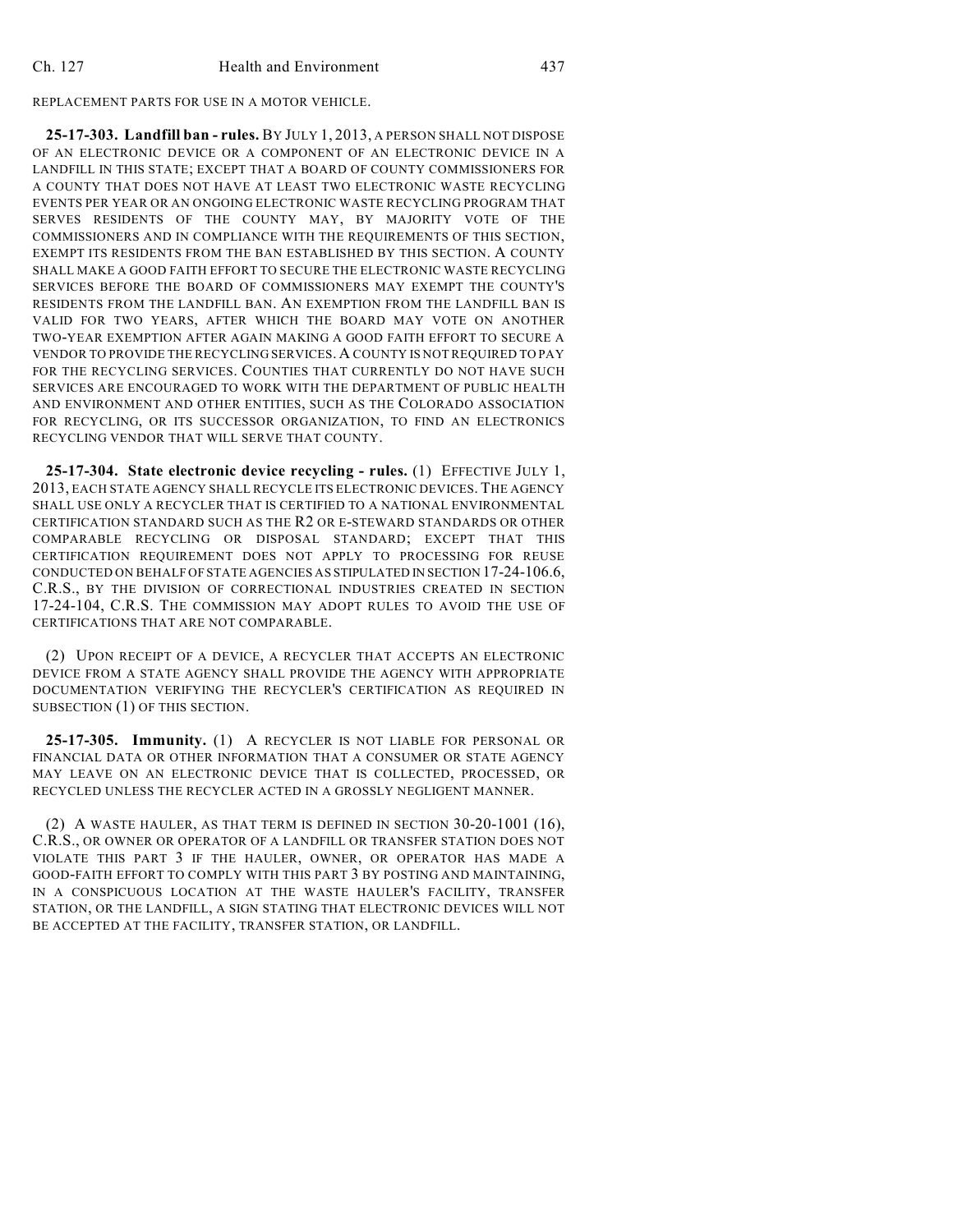REPLACEMENT PARTS FOR USE IN A MOTOR VEHICLE.

**25-17-303. Landfill ban - rules.** BY JULY 1, 2013, A PERSON SHALL NOT DISPOSE OF AN ELECTRONIC DEVICE OR A COMPONENT OF AN ELECTRONIC DEVICE IN A LANDFILL IN THIS STATE; EXCEPT THAT A BOARD OF COUNTY COMMISSIONERS FOR A COUNTY THAT DOES NOT HAVE AT LEAST TWO ELECTRONIC WASTE RECYCLING EVENTS PER YEAR OR AN ONGOING ELECTRONIC WASTE RECYCLING PROGRAM THAT SERVES RESIDENTS OF THE COUNTY MAY, BY MAJORITY VOTE OF THE COMMISSIONERS AND IN COMPLIANCE WITH THE REQUIREMENTS OF THIS SECTION, EXEMPT ITS RESIDENTS FROM THE BAN ESTABLISHED BY THIS SECTION. A COUNTY SHALL MAKE A GOOD FAITH EFFORT TO SECURE THE ELECTRONIC WASTE RECYCLING SERVICES BEFORE THE BOARD OF COMMISSIONERS MAY EXEMPT THE COUNTY'S RESIDENTS FROM THE LANDFILL BAN. AN EXEMPTION FROM THE LANDFILL BAN IS VALID FOR TWO YEARS, AFTER WHICH THE BOARD MAY VOTE ON ANOTHER TWO-YEAR EXEMPTION AFTER AGAIN MAKING A GOOD FAITH EFFORT TO SECURE A VENDOR TO PROVIDE THE RECYCLING SERVICES. A COUNTY IS NOT REQUIRED TO PAY FOR THE RECYCLING SERVICES. COUNTIES THAT CURRENTLY DO NOT HAVE SUCH SERVICES ARE ENCOURAGED TO WORK WITH THE DEPARTMENT OF PUBLIC HEALTH AND ENVIRONMENT AND OTHER ENTITIES, SUCH AS THE COLORADO ASSOCIATION FOR RECYCLING, OR ITS SUCCESSOR ORGANIZATION, TO FIND AN ELECTRONICS RECYCLING VENDOR THAT WILL SERVE THAT COUNTY.

**25-17-304. State electronic device recycling - rules.** (1) EFFECTIVE JULY 1, 2013, EACH STATE AGENCY SHALL RECYCLE ITS ELECTRONIC DEVICES. THE AGENCY SHALL USE ONLY A RECYCLER THAT IS CERTIFIED TO A NATIONAL ENVIRONMENTAL CERTIFICATION STANDARD SUCH AS THE R2 OR E-STEWARD STANDARDS OR OTHER COMPARABLE RECYCLING OR DISPOSAL STANDARD; EXCEPT THAT THIS CERTIFICATION REQUIREMENT DOES NOT APPLY TO PROCESSING FOR REUSE CONDUCTED ON BEHALF OF STATE AGENCIES AS STIPULATED IN SECTION 17-24-106.6, C.R.S., BY THE DIVISION OF CORRECTIONAL INDUSTRIES CREATED IN SECTION 17-24-104, C.R.S. THE COMMISSION MAY ADOPT RULES TO AVOID THE USE OF CERTIFICATIONS THAT ARE NOT COMPARABLE.

(2) UPON RECEIPT OF A DEVICE, A RECYCLER THAT ACCEPTS AN ELECTRONIC DEVICE FROM A STATE AGENCY SHALL PROVIDE THE AGENCY WITH APPROPRIATE DOCUMENTATION VERIFYING THE RECYCLER'S CERTIFICATION AS REQUIRED IN SUBSECTION (1) OF THIS SECTION.

**25-17-305. Immunity.** (1) A RECYCLER IS NOT LIABLE FOR PERSONAL OR FINANCIAL DATA OR OTHER INFORMATION THAT A CONSUMER OR STATE AGENCY MAY LEAVE ON AN ELECTRONIC DEVICE THAT IS COLLECTED, PROCESSED, OR RECYCLED UNLESS THE RECYCLER ACTED IN A GROSSLY NEGLIGENT MANNER.

 $(2)$  A WASTE HAULER, AS THAT TERM IS DEFINED IN SECTION 30-20-1001 (16), C.R.S., OR OWNER OR OPERATOR OF A LANDFILL OR TRANSFER STATION DOES NOT VIOLATE THIS PART 3 IF THE HAULER, OWNER, OR OPERATOR HAS MADE A GOOD-FAITH EFFORT TO COMPLY WITH THIS PART 3 BY POSTING AND MAINTAINING, IN A CONSPICUOUS LOCATION AT THE WASTE HAULER'S FACILITY, TRANSFER STATION, OR THE LANDFILL, A SIGN STATING THAT ELECTRONIC DEVICES WILL NOT BE ACCEPTED AT THE FACILITY, TRANSFER STATION, OR LANDFILL.